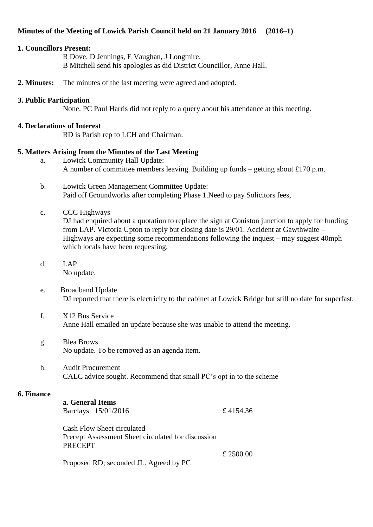# **Minutes of the Meeting of Lowick Parish Council held on 21 January 2016 (2016–1)**

#### **1. Councillors Present:**

R Dove, D Jennings, E Vaughan, J Longmire. B Mitchell send his apologies as did District Councillor, Anne Hall.

**2. Minutes:** The minutes of the last meeting were agreed and adopted.

#### **3. Public Participation**

None. PC Paul Harris did not reply to a query about his attendance at this meeting.

#### **4. Declarations of Interest**

RD is Parish rep to LCH and Chairman.

# **5. Matters Arising from the Minutes of the Last Meeting**

- a. Lowick Community Hall Update: A number of committee members leaving. Building up funds – getting about £170 p.m.
- b. Lowick Green Management Committee Update: Paid off Groundworks after completing Phase 1.Need to pay Solicitors fees,
- c. CCC Highways

DJ had enquired about a quotation to replace the sign at Coniston junction to apply for funding from LAP. Victoria Upton to reply but closing date is 29/01. Accident at Gawthwaite – Highways are expecting some recommendations following the inquest – may suggest 40mph which locals have been requesting.

- d. LAP No update.
- e. Broadband Update DJ reported that there is electricity to the cabinet at Lowick Bridge but still no date for superfast.
- f. X12 Bus Service Anne Hall emailed an update because she was unable to attend the meeting.
- g. Blea Brows No update. To be removed as an agenda item.
- h. Audit Procurement CALC advice sought. Recommend that small PC's opt in to the scheme

# **6. Finance**

| a. General Items |                     |          |
|------------------|---------------------|----------|
|                  | Barclays 15/01/2016 | £4154.36 |

Cash Flow Sheet circulated Precept Assessment Sheet circulated for discussion PRECEPT

£ 2500.00

Proposed RD; seconded JL. Agreed by PC